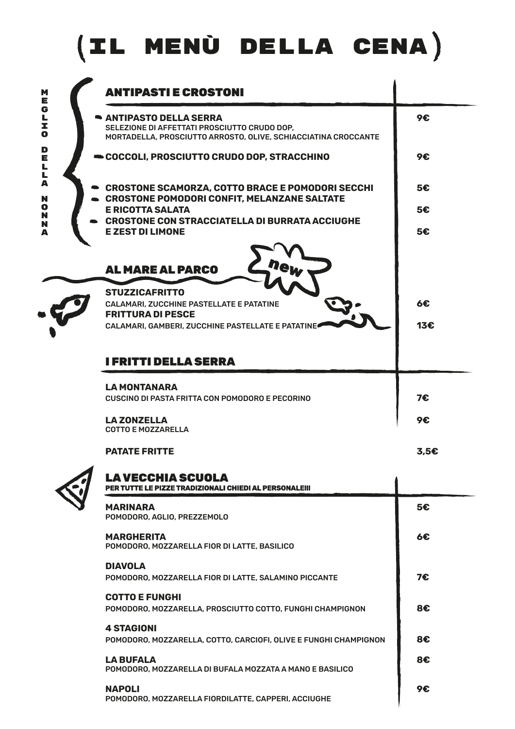## IL MENù DELLA CENA

| М<br>Е           | ANTIPASTI E CROSTONI                                                                                                                           |          |
|------------------|------------------------------------------------------------------------------------------------------------------------------------------------|----------|
| G<br>L<br>I<br>О | <b>ANTIPASTO DELLA SERRA</b><br>SELEZIONE DI AFFETTATI PROSCIUTTO CRUDO DOP,<br>MORTADELLA, PROSCIUTTO ARROSTO, OLIVE, SCHIACCIATINA CROCCANTE | 9€       |
| D<br>Е<br>L<br>L | COCCOLI, PROSCIUTTO CRUDO DOP, STRACCHINO                                                                                                      | 9€       |
| А<br>N           | <b>CROSTONE SCAMORZA, COTTO BRACE E POMODORI SECCHI</b><br>• CROSTONE POMODORI CONFIT, MELANZANE SALTATE                                       | 5€       |
| О<br>N<br>N<br>А | <b>E RICOTTA SALATA</b><br><b>CROSTONE CON STRACCIATELLA DI BURRATA ACCIUGHE</b><br><b>E ZEST DI LIMONE</b>                                    | 5€<br>5€ |
|                  | <b>AL MARE AL PARCO</b>                                                                                                                        |          |
|                  | <b>STUZZICAFRITTO</b><br><b>CALAMARI, ZUCCHINE PASTELLATE E PATATINE</b>                                                                       | 6€       |
|                  | <b>FRITTURA DI PESCE</b><br><b>CALAMARI, GAMBERI, ZUCCHINE PASTELLATE E PATATINE</b>                                                           | 13€      |
|                  | <b>I FRITTI DELLA SERRA</b>                                                                                                                    |          |
|                  | LA MONTANARA<br><b>CUSCINO DI PASTA FRITTA CON POMODORO E PECORINO</b>                                                                         | 7€       |
|                  | <b>LA ZONZELLA</b><br><b>COTTO E MOZZARELLA</b>                                                                                                | 9€       |
|                  | <b>PATATE FRITTE</b>                                                                                                                           | 3,5€     |
|                  | <b>LA VECCHIA SCUOLA</b><br>PER TUTTE LE PIZZE TRADIZIONALI CHIEDI AL PERSONALE!!!                                                             |          |
|                  | <b>MARINARA</b><br>POMODORO, AGLIO, PREZZEMOLO                                                                                                 | 5€       |
|                  | <b>MARGHERITA</b><br>POMODORO, MOZZARELLA FIOR DI LATTE, BASILICO                                                                              | 6€       |
|                  | <b>DIAVOLA</b><br>POMODORO, MOZZARELLA FIOR DI LATTE, SALAMINO PICCANTE                                                                        | 7€       |
|                  | <b>COTTO E FUNGHI</b><br>POMODORO, MOZZARELLA, PROSCIUTTO COTTO, FUNGHI CHAMPIGNON                                                             | 8€       |
|                  | <b>4 STAGIONI</b><br>POMODORO, MOZZARELLA, COTTO, CARCIOFI, OLIVE E FUNGHI CHAMPIGNON                                                          | 8€       |
|                  | <b>LA BUFALA</b><br>POMODORO, MOZZARELLA DI BUFALA MOZZATA A MANO E BASILICO                                                                   | 8€       |

**NAPOLI 9€** POMODORO, MOZZARELLA FIORDILATTE, CAPPERI, ACCIUGHE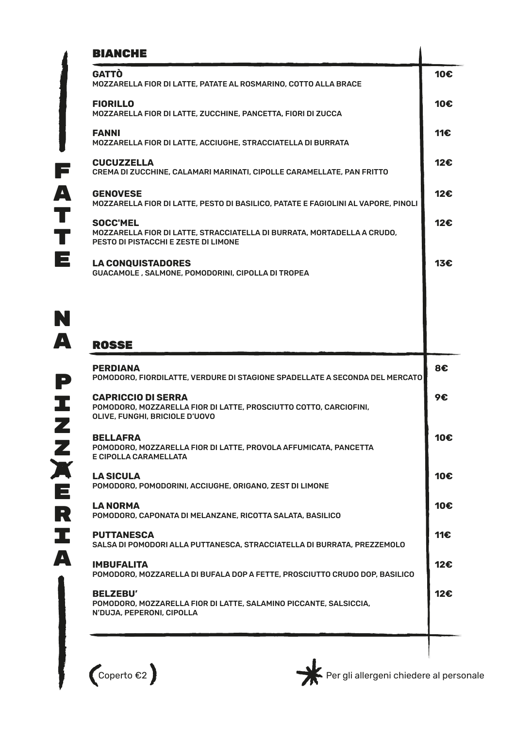| <b>GATTÒ</b><br>MOZZARELLA FIOR DI LATTE, PATATE AL ROSMARINO, COTTO ALLA BRACE                                                         |  |
|-----------------------------------------------------------------------------------------------------------------------------------------|--|
| <b>FIORILLO</b><br>MOZZARELLA FIOR DI LATTE, ZUCCHINE, PANCETTA, FIORI DI ZUCCA                                                         |  |
| <b>FANNI</b><br><b>MOZZARELLA FIOR DI LATTE, ACCIUGHE, STRACCIATELLA DI BURRATA</b>                                                     |  |
| <b>CUCUZZELLA</b><br>CREMA DI ZUCCHINE, CALAMARI MARINATI, CIPOLLE CARAMELLATE, PAN FRITTO                                              |  |
| <b>GENOVESE</b><br>MOZZARELLA FIOR DI LATTE, PESTO DI BASILICO, PATATE E FAGIOLINI AL VAPORE, PINOLI                                    |  |
| <b>SOCC'MEL</b><br>MOZZARELLA FIOR DI LATTE, STRACCIATELLA DI BURRATA, MORTADELLA A CRUDO,<br>PESTO DI PISTACCHI E ZESTE DI LIMONE      |  |
| <b>LA CONQUISTADORES</b><br>GUACAMOLE, SALMONE, POMODORINI, CIPOLLA DI TROPEA                                                           |  |
|                                                                                                                                         |  |
|                                                                                                                                         |  |
|                                                                                                                                         |  |
| <b>ROSSE</b>                                                                                                                            |  |
| <b>PERDIANA</b><br>POMODORO, FIORDILATTE, VERDURE DI STAGIONE SPADELLATE A SECONDA DEL MERCATO                                          |  |
| <b>CAPRICCIO DI SERRA</b><br>POMODORO, MOZZARELLA FIOR DI LATTE, PROSCIUTTO COTTO, CARCIOFINI,<br><b>OLIVE, FUNGHI, BRICIOLE D'UOVO</b> |  |
| <b>BELLAFRA</b><br>POMODORO, MOZZARELLA FIOR DI LATTE, PROVOLA AFFUMICATA, PANCETTA<br>E CIPOLLA CARAMELLATA                            |  |
| <b>LA SICULA</b><br>POMODORO, POMODORINI, ACCIUGHE, ORIGANO, ZEST DI LIMONE                                                             |  |
| <b>LA NORMA</b><br>POMODORO, CAPONATA DI MELANZANE, RICOTTA SALATA, BASILICO                                                            |  |
| <b>PUTTANESCA</b><br>SALSA DI POMODORI ALLA PUTTANESCA, STRACCIATELLA DI BURRATA, PREZZEMOLO                                            |  |
| <b>IMBUFALITA</b><br>POMODORO, MOZZARELLA DI BUFALA DOP A FETTE, PROSCIUTTO CRUDO DOP, BASILICO                                         |  |